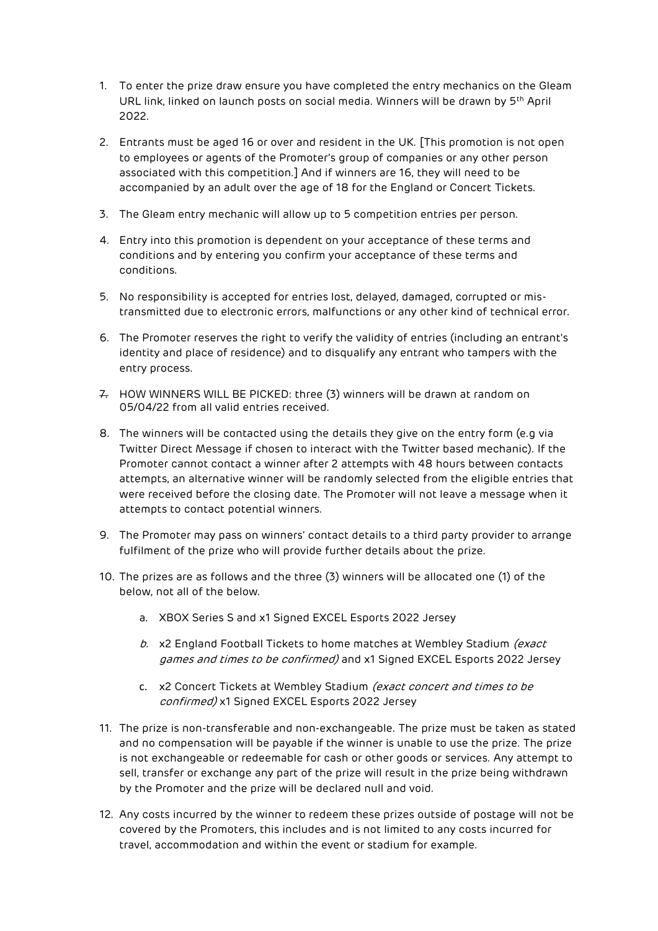- 1. To enter the prize draw ensure you have completed the entry mechanics on the Gleam URL link, linked on launch posts on social media. Winners will be drawn by 5<sup>th</sup> April 2022.
- 2. Entrants must be aged 16 or over and resident in the UK. [This promotion is not open to employees or agents of the Promoter's group of companies or any other person associated with this competition.] And if winners are 16, they will need to be accompanied by an adult over the age of 18 for the England or Concert Tickets.
- 3. The Gleam entry mechanic will allow up to 5 competition entries per person.
- 4. Entry into this promotion is dependent on your acceptance of these terms and conditions and by entering you confirm your acceptance of these terms and conditions.
- 5. No responsibility is accepted for entries lost, delayed, damaged, corrupted or mistransmitted due to electronic errors, malfunctions or any other kind of technical error.
- 6. The Promoter reserves the right to verify the validity of entries (including an entrant's identity and place of residence) and to disqualify any entrant who tampers with the entry process.
- 7. HOW WINNERS WILL BE PICKED: three (3) winners will be drawn at random on 05/04/22 from all valid entries received.
- 8. The winners will be contacted using the details they give on the entry form (e.g via Twitter Direct Message if chosen to interact with the Twitter based mechanic). If the Promoter cannot contact a winner after 2 attempts with 48 hours between contacts attempts, an alternative winner will be randomly selected from the eligible entries that were received before the closing date. The Promoter will not leave a message when it attempts to contact potential winners.
- 9. The Promoter may pass on winners' contact details to a third party provider to arrange fulfilment of the prize who will provide further details about the prize.
- 10. The prizes are as follows and the three (3) winners will be allocated one (1) of the below, not all of the below.
	- a. XBOX Series S and x1 Signed EXCEL Esports 2022 Jersey
	- b. x2 England Football Tickets to home matches at Wembley Stadium (exact games and times to be confirmed) and x1 Signed EXCEL Esports 2022 Jersey
	- c. x2 Concert Tickets at Wembley Stadium (exact concert and times to be confirmed) x1 Signed EXCEL Esports 2022 Jersey
- 11. The prize is non-transferable and non-exchangeable. The prize must be taken as stated and no compensation will be payable if the winner is unable to use the prize. The prize is not exchangeable or redeemable for cash or other goods or services. Any attempt to sell, transfer or exchange any part of the prize will result in the prize being withdrawn by the Promoter and the prize will be declared null and void.
- 12. Any costs incurred by the winner to redeem these prizes outside of postage will not be covered by the Promoters, this includes and is not limited to any costs incurred for travel, accommodation and within the event or stadium for example.